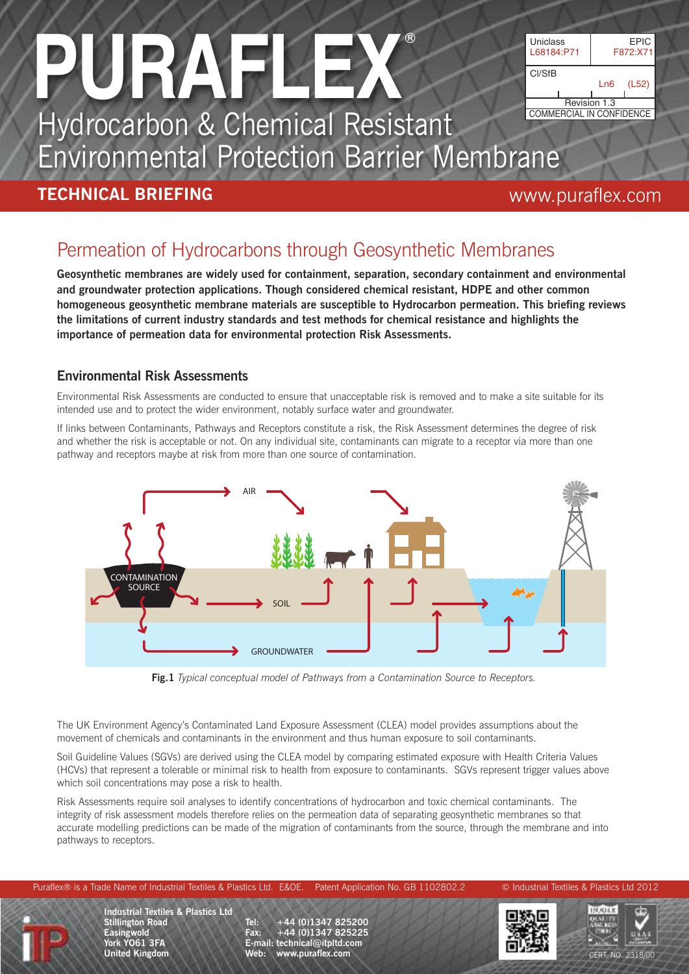

Hydrocarbon & Chemical Resistant Environmental Protection Barrier Membrane

#### **TECHNICAL BRIEFING** www.puraflex.com

### Permeation of Hydrocarbons through Geosynthetic Membranes

**Geosynthetic membranes are widely used for containment, separation, secondary containment and environmental and groundwater protection applications. Though considered chemical resistant, HDPE and other common homogeneous geosynthetic membrane materials are susceptible to Hydrocarbon permeation. This briefing reviews the limitations of current industry standards and test methods for chemical resistance and highlights the importance of permeation data for environmental protection Risk Assessments.**

#### **Environmental Risk Assessments**

Environmental Risk Assessments are conducted to ensure that unacceptable risk is removed and to make a site suitable for its intended use and to protect the wider environment, notably surface water and groundwater.

If links between Contaminants, Pathways and Receptors constitute a risk, the Risk Assessment determines the degree of risk and whether the risk is acceptable or not. On any individual site, contaminants can migrate to a receptor via more than one pathway and receptors maybe at risk from more than one source of contamination.



**Fig.1** *Typical conceptual model of Pathways from a Contamination Source to Receptors.*

The UK Environment Agency's Contaminated Land Exposure Assessment (CLEA) model provides assumptions about the movement of chemicals and contaminants in the environment and thus human exposure to soil contaminants.

Soil Guideline Values (SGVs) are derived using the CLEA model by comparing estimated exposure with Health Criteria Values (HCVs) that represent a tolerable or minimal risk to health from exposure to contaminants. SGVs represent trigger values above which soil concentrations may pose a risk to health.

Risk Assessments require soil analyses to identify concentrations of hydrocarbon and toxic chemical contaminants. The integrity of risk assessment models therefore relies on the permeation data of separating geosynthetic membranes so that accurate modelling predictions can be made of the migration of contaminants from the source, through the membrane and into pathways to receptors.



**Industrial Textiles & Plastics Ltd Stillington Road Easingwold York YO61 3FA United Kingdom**

**Tel: +44 (0)1347 825200 Fax: +44 (0)1347 825225 E-mail: technical@itpltd.com Web: www.puraflex.com** CERT. NO. 2318/00



Puraflex® is a Trade Name of Industrial Textiles & Plastics Ltd. E&OE. Patent Application No. GB 1102802.2 © Industrial Textiles & Plastics Ltd 2012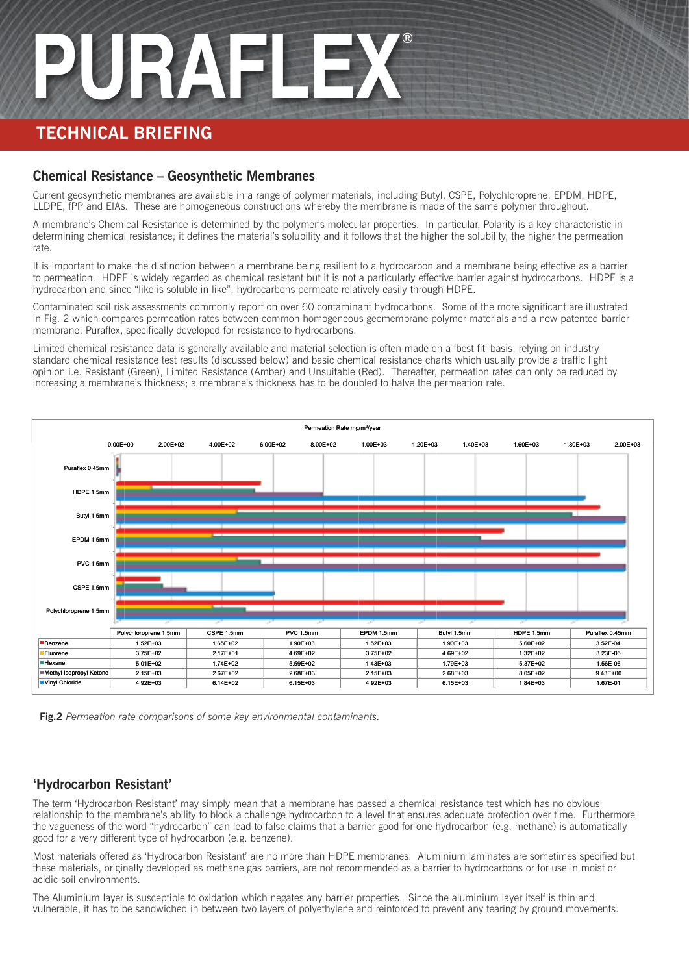#### **TECHNICAL BRIEFING**

#### **Chemical Resistance – Geosynthetic Membranes**

Current geosynthetic membranes are available in a range of polymer materials, including Butyl, CSPE, Polychloroprene, EPDM, HDPE, LLDPE, fPP and EIAs. These are homogeneous constructions whereby the membrane is made of the same polymer throughout.

A membrane's Chemical Resistance is determined by the polymer's molecular properties. In particular, Polarity is a key characteristic in determining chemical resistance; it defines the material's solubility and it follows that the higher the solubility, the higher the permeation rate.

It is important to make the distinction between a membrane being resilient to a hydrocarbon and a membrane being effective as a barrier to permeation. HDPE is widely regarded as chemical resistant but it is not a particularly effective barrier against hydrocarbons. HDPE is a hydrocarbon and since "like is soluble in like", hydrocarbons permeate relatively easily through HDPE.

Contaminated soil risk assessments commonly report on over 60 contaminant hydrocarbons. Some of the more significant are illustrated in Fig. 2 which compares permeation rates between common homogeneous geomembrane polymer materials and a new patented barrier membrane, Puraflex, specifically developed for resistance to hydrocarbons.

Limited chemical resistance data is generally available and material selection is often made on a 'best fit' basis, relying on industry standard chemical resistance test results (discussed below) and basic chemical resistance charts which usually provide a traffic light opinion i.e. Resistant (Green), Limited Resistance (Amber) and Unsuitable (Red). Thereafter, permeation rates can only be reduced by increasing a membrane's thickness; a membrane's thickness has to be doubled to halve the permeation rate.





#### **'Hydrocarbon Resistant'**

The term 'Hydrocarbon Resistant' may simply mean that a membrane has passed a chemical resistance test which has no obvious relationship to the membrane's ability to block a challenge hydrocarbon to a level that ensures adequate protection over time. Furthermore the vagueness of the word "hydrocarbon" can lead to false claims that a barrier good for one hydrocarbon (e.g. methane) is automatically good for a very different type of hydrocarbon (e.g. benzene).

Most materials offered as 'Hydrocarbon Resistant' are no more than HDPE membranes. Aluminium laminates are sometimes specified but these materials, originally developed as methane gas barriers, are not recommended as a barrier to hydrocarbons or for use in moist or acidic soil environments.

The Aluminium layer is susceptible to oxidation which negates any barrier properties. Since the aluminium layer itself is thin and vulnerable, it has to be sandwiched in between two layers of polyethylene and reinforced to prevent any tearing by ground movements.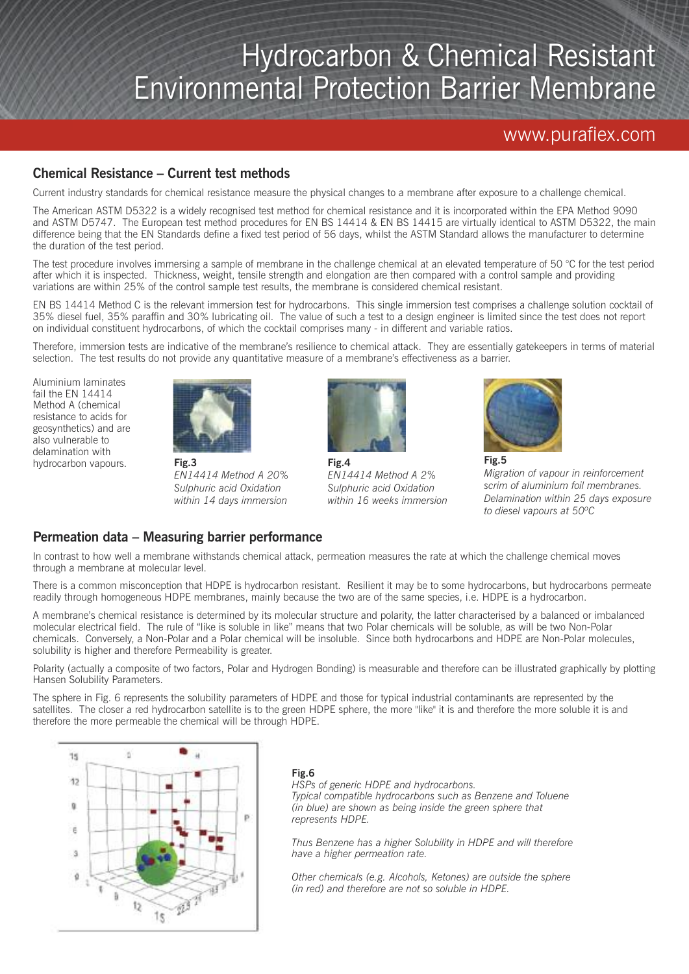## Hydrocarbon & Chemical Resistant Environmental Protection Barrier Membrane

#### www.puraflex.com

#### **Chemical Resistance – Current test methods**

Current industry standards for chemical resistance measure the physical changes to a membrane after exposure to a challenge chemical.

The American ASTM D5322 is a widely recognised test method for chemical resistance and it is incorporated within the EPA Method 9090 and ASTM D5747. The European test method procedures for EN BS 14414 & EN BS 14415 are virtually identical to ASTM D5322, the main difference being that the EN Standards define a fixed test period of 56 days, whilst the ASTM Standard allows the manufacturer to determine the duration of the test period.

The test procedure involves immersing a sample of membrane in the challenge chemical at an elevated temperature of 50  $\degree$ C for the test period after which it is inspected. Thickness, weight, tensile strength and elongation are then compared with a control sample and providing variations are within 25% of the control sample test results, the membrane is considered chemical resistant.

EN BS 14414 Method C is the relevant immersion test for hydrocarbons. This single immersion test comprises a challenge solution cocktail of 35% diesel fuel, 35% paraffin and 30% lubricating oil. The value of such a test to a design engineer is limited since the test does not report on individual constituent hydrocarbons, of which the cocktail comprises many - in different and variable ratios.

Therefore, immersion tests are indicative of the membrane's resilience to chemical attack. They are essentially gatekeepers in terms of material selection. The test results do not provide any quantitative measure of a membrane's effectiveness as a barrier.

Aluminium laminates fail the EN 14414 Method A (chemical resistance to acids for geosynthetics) and are also vulnerable to delamination with hydrocarbon vapours.



**Fig.3** *EN14414 Method A 20% Sulphuric acid Oxidation within 14 days immersion*



**Fig.4** *EN14414 Method A 2% Sulphuric acid Oxidation within 16 weeks immersion*



*Migration of vapour in reinforcement scrim of aluminium foil membranes. Delamination within 25 days exposure to diesel vapours at 50ºC*

#### **Permeation data – Measuring barrier performance**

In contrast to how well a membrane withstands chemical attack, permeation measures the rate at which the challenge chemical moves through a membrane at molecular level.

There is a common misconception that HDPE is hydrocarbon resistant. Resilient it may be to some hydrocarbons, but hydrocarbons permeate readily through homogeneous HDPE membranes, mainly because the two are of the same species, i.e. HDPE is a hydrocarbon.

A membrane's chemical resistance is determined by its molecular structure and polarity, the latter characterised by a balanced or imbalanced molecular electrical field. The rule of "like is soluble in like" means that two Polar chemicals will be soluble, as will be two Non-Polar chemicals. Conversely, a Non-Polar and a Polar chemical will be insoluble. Since both hydrocarbons and HDPE are Non-Polar molecules, solubility is higher and therefore Permeability is greater.

Polarity (actually a composite of two factors, Polar and Hydrogen Bonding) is measurable and therefore can be illustrated graphically by plotting Hansen Solubility Parameters.

The sphere in Fig. 6 represents the solubility parameters of HDPE and those for typical industrial contaminants are represented by the satellites. The closer a red hydrocarbon satellite is to the green HDPE sphere, the more "like" it is and therefore the more soluble it is and therefore the more permeable the chemical will be through HDPE.



#### **Fig.6**

*HSPs of generic HDPE and hydrocarbons. Typical compatible hydrocarbons such as Benzene and Toluene (in blue) are shown as being inside the green sphere that represents HDPE.*

*Thus Benzene has a higher Solubility in HDPE and will therefore have a higher permeation rate.*

*Other chemicals (e.g. Alcohols, Ketones) are outside the sphere (in red) and therefore are not so soluble in HDPE.*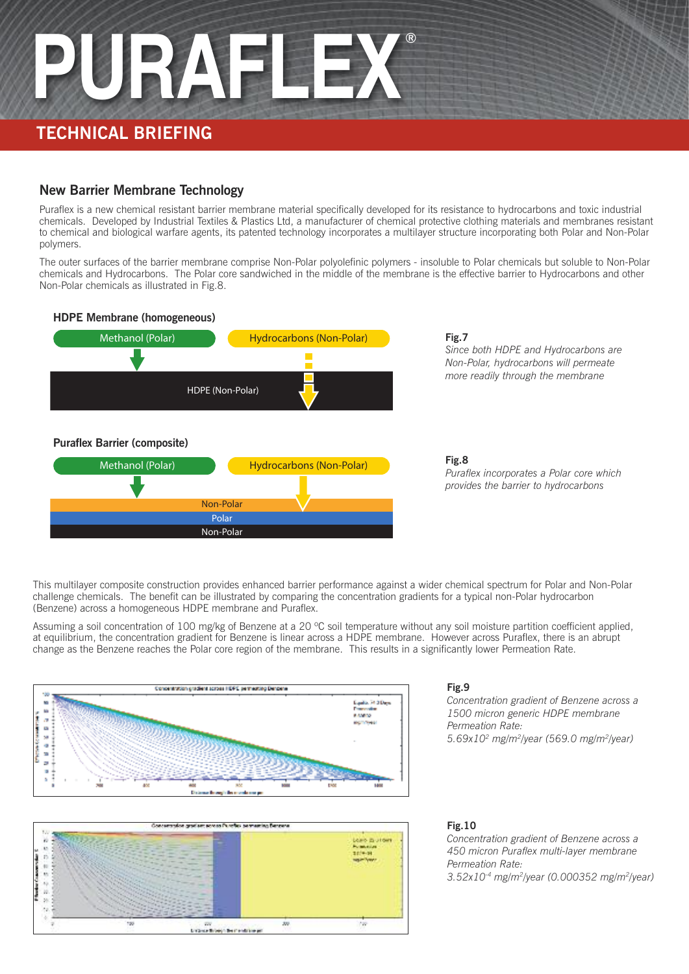#### **TECHNICAL BRIEFING**

#### **New Barrier Membrane Technology**

Puraflex is a new chemical resistant barrier membrane material specifically developed for its resistance to hydrocarbons and toxic industrial chemicals. Developed by Industrial Textiles & Plastics Ltd, a manufacturer of chemical protective clothing materials and membranes resistant to chemical and biological warfare agents, its patented technology incorporates a multilayer structure incorporating both Polar and Non-Polar polymers.

The outer surfaces of the barrier membrane comprise Non-Polar polyolefinic polymers - insoluble to Polar chemicals but soluble to Non-Polar chemicals and Hydrocarbons. The Polar core sandwiched in the middle of the membrane is the effective barrier to Hydrocarbons and other Non-Polar chemicals as illustrated in Fig.8.



#### **Fig.7** *Since both HDPE and Hydrocarbons are Non-Polar, hydrocarbons will permeate more readily through the membrane*

**Fig.8** *Puraflex incorporates a Polar core which provides the barrier to hydrocarbons*

This multilayer composite construction provides enhanced barrier performance against a wider chemical spectrum for Polar and Non-Polar challenge chemicals. The benefit can be illustrated by comparing the concentration gradients for a typical non-Polar hydrocarbon (Benzene) across a homogeneous HDPE membrane and Puraflex.

Assuming a soil concentration of 100 mg/kg of Benzene at a 20 °C soil temperature without any soil moisture partition coefficient applied, at equilibrium, the concentration gradient for Benzene is linear across a HDPE membrane. However across Puraflex, there is an abrupt change as the Benzene reaches the Polar core region of the membrane. This results in a significantly lower Permeation Rate.





#### **Fig.9**

*Concentration gradient of Benzene across a 1500 micron generic HDPE membrane Permeation Rate: 5.69x102 mg/m2/year (569.0 mg/m2/year)*

#### **Fig.10**

*Concentration gradient of Benzene across a 450 micron Puraflex multi-layer membrane Permeation Rate: 3.52x10-4 mg/m2/year (0.000352 mg/m2/year)*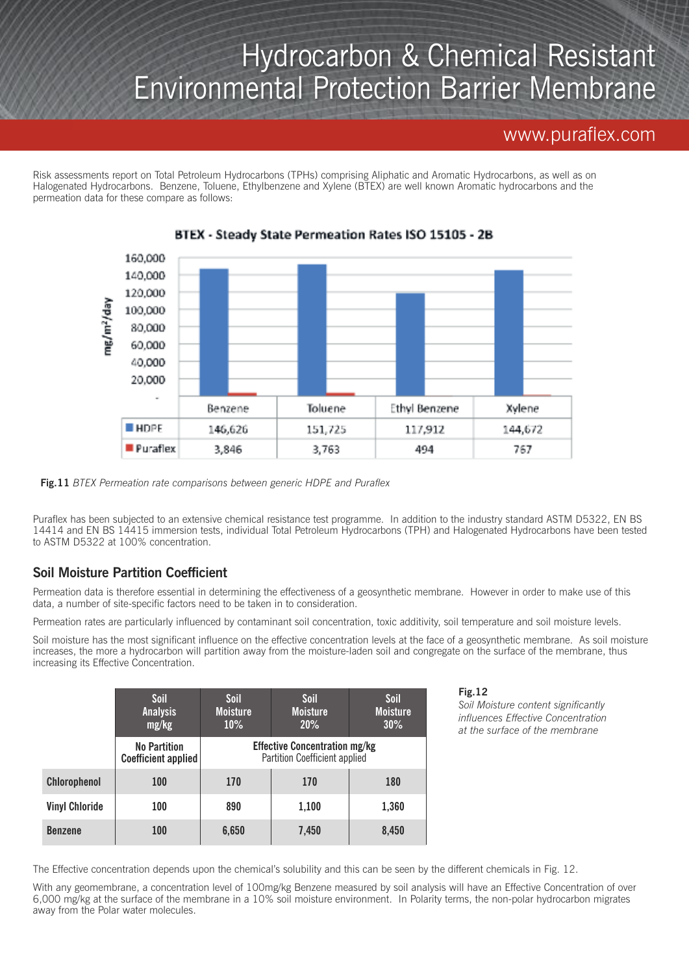## Hydrocarbon & Chemical Resistant Environmental Protection Barrier Membrane

#### www.puraflex.com

Risk assessments report on Total Petroleum Hydrocarbons (TPHs) comprising Aliphatic and Aromatic Hydrocarbons, as well as on Halogenated Hydrocarbons. Benzene, Toluene, Ethylbenzene and Xylene (BTEX) are well known Aromatic hydrocarbons and the permeation data for these compare as follows:



#### BTEX - Steady State Permeation Rates ISO 15105 - 2B

**Fig.11** *BTEX Permeation rate comparisons between generic HDPE and Puraflex*

Puraflex has been subjected to an extensive chemical resistance test programme. In addition to the industry standard ASTM D5322, EN BS 14414 and EN BS 14415 immersion tests, individual Total Petroleum Hydrocarbons (TPH) and Halogenated Hydrocarbons have been tested to ASTM D5322 at 100% concentration.

#### **Soil Moisture Partition Coefficient**

Permeation data is therefore essential in determining the effectiveness of a geosynthetic membrane. However in order to make use of this data, a number of site-specific factors need to be taken in to consideration.

Permeation rates are particularly influenced by contaminant soil concentration, toxic additivity, soil temperature and soil moisture levels.

Soil moisture has the most significant influence on the effective concentration levels at the face of a geosynthetic membrane. As soil moisture increases, the more a hydrocarbon will partition away from the moisture-laden soil and congregate on the surface of the membrane, thus increasing its Effective Concentration.

|                       | Soil<br><b>Analysis</b><br>mg/kg           | Soil<br><b>Moisture</b><br>$10\%$                                            | Soil<br><b>Moisture</b><br>20% | Soil<br><b>Moisture</b><br>30% |
|-----------------------|--------------------------------------------|------------------------------------------------------------------------------|--------------------------------|--------------------------------|
|                       | <b>No Partition</b><br>Coefficient applied | <b>Effective Concentration mg/kg</b><br><b>Partition Coefficient applied</b> |                                |                                |
| Chlorophenol          | 100                                        | 170                                                                          | 170                            | <b>180</b>                     |
| <b>Vinyl Chloride</b> | 100                                        | 890                                                                          | 1,100                          | 1,360                          |
| <b>Benzene</b>        | <b>100</b>                                 | 6,650                                                                        | 7,450                          | 8,450                          |

**Fig.12**

*Soil Moisture content significantly influences Effective Concentration at the surface of the membrane*

The Effective concentration depends upon the chemical's solubility and this can be seen by the different chemicals in Fig. 12.

With any geomembrane, a concentration level of 100mg/kg Benzene measured by soil analysis will have an Effective Concentration of over 6,000 mg/kg at the surface of the membrane in a 10% soil moisture environment. In Polarity terms, the non-polar hydrocarbon migrates away from the Polar water molecules.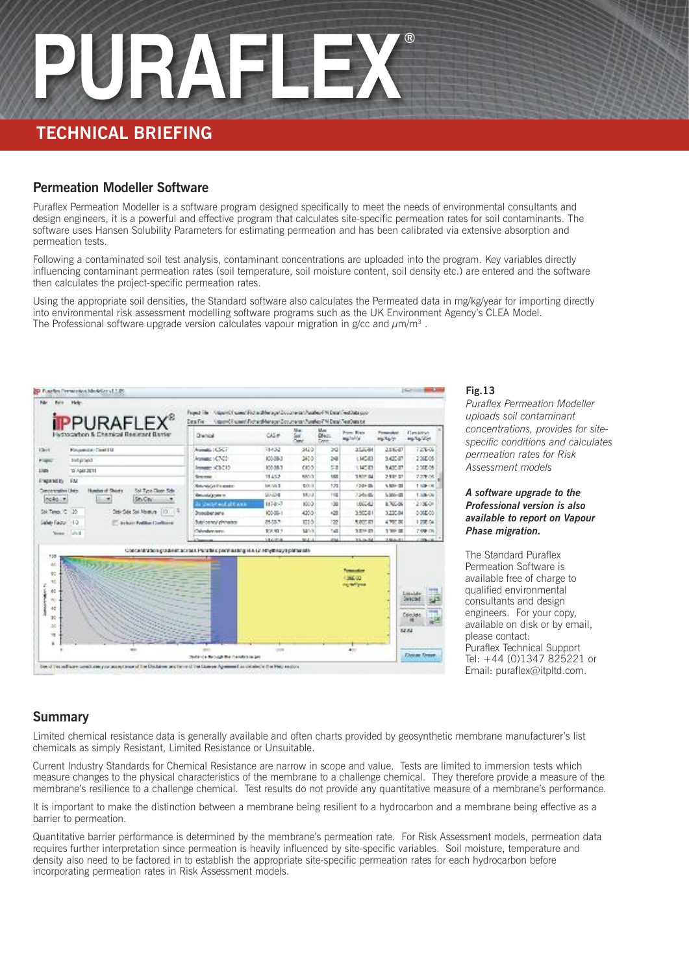#### **TECHNICAL BRIEFING**

#### **Permeation Modeller Software**

Puraflex Permeation Modeller is a software program designed specifically to meet the needs of environmental consultants and design engineers, it is a powerful and effective program that calculates site-specific permeation rates for soil contaminants. The software uses Hansen Solubility Parameters for estimating permeation and has been calibrated via extensive absorption and permeation tests.

Following a contaminated soil test analysis, contaminant concentrations are uploaded into the program. Key variables directly influencing contaminant permeation rates (soil temperature, soil moisture content, soil density etc.) are entered and the software then calculates the project-specific permeation rates.

Using the appropriate soil densities, the Standard software also calculates the Permeated data in mg/kg/year for importing directly into environmental risk assessment modelling software programs such as the UK Environment Agency's CLEA Model. The Professional software upgrade version calculates vapour migration in  $g/cc$  and  $\mu m/m<sup>3</sup>$ .



#### **Fig.13**

*Puraflex Permeation Modeller uploads soil contaminant concentrations, provides for sitespecific conditions and calculates permeation rates for Risk Assessment models*

#### *A software upgrade to the Professional version is also available to report on Vapour Phase migration.*

The Standard Puraflex Permeation Software is available free of charge to qualified environmental consultants and design engineers. For your copy, available on disk or by email, please contact: Puraflex Technical Support Tel: +44 (0)1347 825221 or Email: puraflex@itpltd.com.

#### **Summary**

Limited chemical resistance data is generally available and often charts provided by geosynthetic membrane manufacturer's list chemicals as simply Resistant, Limited Resistance or Unsuitable.

Current Industry Standards for Chemical Resistance are narrow in scope and value. Tests are limited to immersion tests which measure changes to the physical characteristics of the membrane to a challenge chemical. They therefore provide a measure of the membrane's resilience to a challenge chemical. Test results do not provide any quantitative measure of a membrane's performance.

It is important to make the distinction between a membrane being resilient to a hydrocarbon and a membrane being effective as a barrier to permeation.

Quantitative barrier performance is determined by the membrane's permeation rate. For Risk Assessment models, permeation data requires further interpretation since permeation is heavily influenced by site-specific variables. Soil moisture, temperature and density also need to be factored in to establish the appropriate site-specific permeation rates for each hydrocarbon before incorporating permeation rates in Risk Assessment models.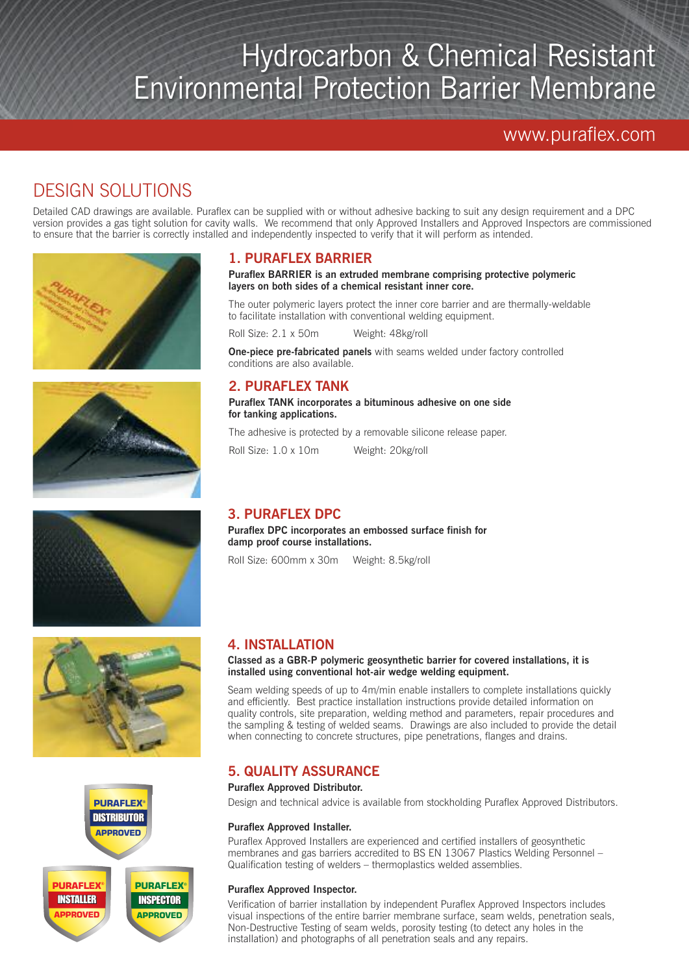## Hydrocarbon & Chemical Resistant Environmental Protection Barrier Membrane

www.puraflex.com

### DESIGN SOLUTIONS

Detailed CAD drawings are available. Puraflex can be supplied with or without adhesive backing to suit any design requirement and a DPC version provides a gas tight solution for cavity walls. We recommend that only Approved Installers and Approved Inspectors are commissioned to ensure that the barrier is correctly installed and independently inspected to verify that it will perform as intended.











#### **1. PURAFLEX BARRIER**

#### **Puraflex BARRIER is an extruded membrane comprising protective polymeric layers on both sides of a chemical resistant inner core.**

The outer polymeric layers protect the inner core barrier and are thermally-weldable to facilitate installation with conventional welding equipment.

Roll Size: 2.1 x 50m Weight: 48kg/roll

**One-piece pre-fabricated panels** with seams welded under factory controlled conditions are also available.

#### **2. PURAFLEX TANK**

**Puraflex TANK incorporates a bituminous adhesive on one side for tanking applications.**

The adhesive is protected by a removable silicone release paper.

Roll Size: 1.0 x 10m Weight: 20kg/roll

#### **3. PURAFLEX DPC**

**Puraflex DPC incorporates an embossed surface finish for damp proof course installations.**

Roll Size: 600mm x 30m Weight: 8.5kg/roll

#### **4. INSTALLATION**

**Classed as a GBR-P polymeric geosynthetic barrier for covered installations, it is installed using conventional hot-air wedge welding equipment.**

Seam welding speeds of up to 4m/min enable installers to complete installations quickly and efficiently. Best practice installation instructions provide detailed information on quality controls, site preparation, welding method and parameters, repair procedures and the sampling & testing of welded seams. Drawings are also included to provide the detail when connecting to concrete structures, pipe penetrations, flanges and drains.

#### **5. QUALITY ASSURANCE**

#### **Puraflex Approved Distributor.**

Design and technical advice is available from stockholding Puraflex Approved Distributors.

#### **Puraflex Approved Installer.**

Puraflex Approved Installers are experienced and certified installers of geosynthetic membranes and gas barriers accredited to BS EN 13067 Plastics Welding Personnel – Qualification testing of welders – thermoplastics welded assemblies.

#### **Puraflex Approved Inspector.**

Verification of barrier installation by independent Puraflex Approved Inspectors includes visual inspections of the entire barrier membrane surface, seam welds, penetration seals, Non-Destructive Testing of seam welds, porosity testing (to detect any holes in the installation) and photographs of all penetration seals and any repairs.